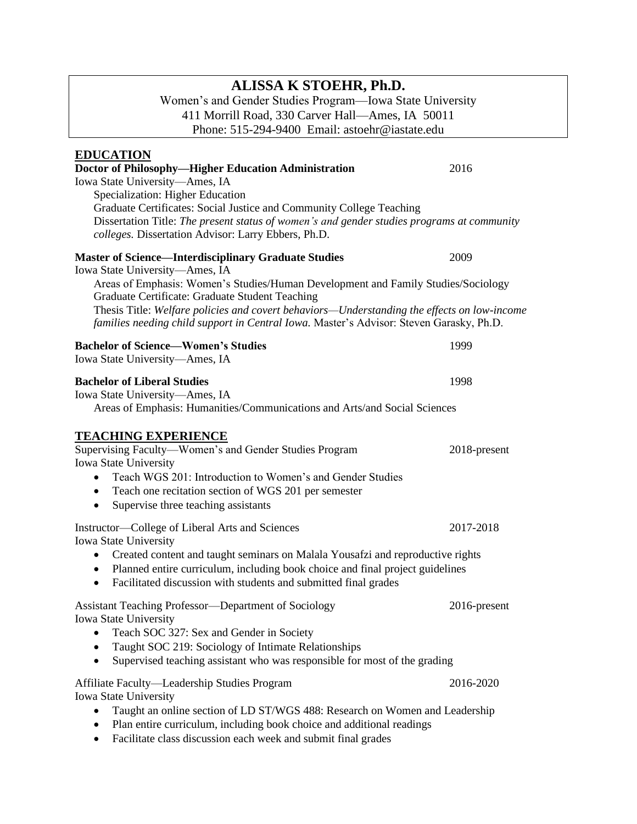# **ALISSA K STOEHR, Ph.D.**

Women's and Gender Studies Program—Iowa State University 411 Morrill Road, 330 Carver Hall—Ames, IA 50011 Phone: 515-294-9400 Email: astoehr@iastate.edu

| <u>EDUCATION</u>                                                                                                                                                                                                                          |              |
|-------------------------------------------------------------------------------------------------------------------------------------------------------------------------------------------------------------------------------------------|--------------|
| Doctor of Philosophy-Higher Education Administration                                                                                                                                                                                      | 2016         |
| Iowa State University-Ames, IA                                                                                                                                                                                                            |              |
| Specialization: Higher Education                                                                                                                                                                                                          |              |
| Graduate Certificates: Social Justice and Community College Teaching                                                                                                                                                                      |              |
| Dissertation Title: The present status of women's and gender studies programs at community                                                                                                                                                |              |
| colleges. Dissertation Advisor: Larry Ebbers, Ph.D.                                                                                                                                                                                       |              |
| <b>Master of Science—Interdisciplinary Graduate Studies</b>                                                                                                                                                                               | 2009         |
| Iowa State University—Ames, IA<br>Areas of Emphasis: Women's Studies/Human Development and Family Studies/Sociology                                                                                                                       |              |
| Graduate Certificate: Graduate Student Teaching<br>Thesis Title: Welfare policies and covert behaviors—Understanding the effects on low-income<br>families needing child support in Central Iowa. Master's Advisor: Steven Garasky, Ph.D. |              |
|                                                                                                                                                                                                                                           |              |
| <b>Bachelor of Science-Women's Studies</b><br>Iowa State University-Ames, IA                                                                                                                                                              | 1999         |
|                                                                                                                                                                                                                                           |              |
| <b>Bachelor of Liberal Studies</b>                                                                                                                                                                                                        | 1998         |
| Iowa State University-Ames, IA                                                                                                                                                                                                            |              |
| Areas of Emphasis: Humanities/Communications and Arts/and Social Sciences                                                                                                                                                                 |              |
| <b>TEACHING EXPERIENCE</b>                                                                                                                                                                                                                |              |
| Supervising Faculty—Women's and Gender Studies Program                                                                                                                                                                                    | 2018-present |
| <b>Iowa State University</b>                                                                                                                                                                                                              |              |
| Teach WGS 201: Introduction to Women's and Gender Studies<br>$\bullet$                                                                                                                                                                    |              |
| Teach one recitation section of WGS 201 per semester<br>$\bullet$                                                                                                                                                                         |              |
| Supervise three teaching assistants<br>$\bullet$                                                                                                                                                                                          |              |
| Instructor—College of Liberal Arts and Sciences                                                                                                                                                                                           | 2017-2018    |
| Iowa State University                                                                                                                                                                                                                     |              |
| • Created content and taught seminars on Malala Yousafzi and reproductive rights                                                                                                                                                          |              |
| • Planned entire curriculum, including book choice and final project guidelines                                                                                                                                                           |              |
| Facilitated discussion with students and submitted final grades<br>$\bullet$                                                                                                                                                              |              |
| <b>Assistant Teaching Professor-Department of Sociology</b>                                                                                                                                                                               | 2016-present |
| Iowa State University                                                                                                                                                                                                                     |              |
| Teach SOC 327: Sex and Gender in Society                                                                                                                                                                                                  |              |
| Taught SOC 219: Sociology of Intimate Relationships                                                                                                                                                                                       |              |
| Supervised teaching assistant who was responsible for most of the grading                                                                                                                                                                 |              |
| Affiliate Faculty-Leadership Studies Program                                                                                                                                                                                              | 2016-2020    |
| Iowa State University                                                                                                                                                                                                                     |              |
| Taught an online section of LD ST/WGS 488: Research on Women and Leadership                                                                                                                                                               |              |
| Plan entire curriculum, including book choice and additional readings                                                                                                                                                                     |              |
|                                                                                                                                                                                                                                           |              |

• Facilitate class discussion each week and submit final grades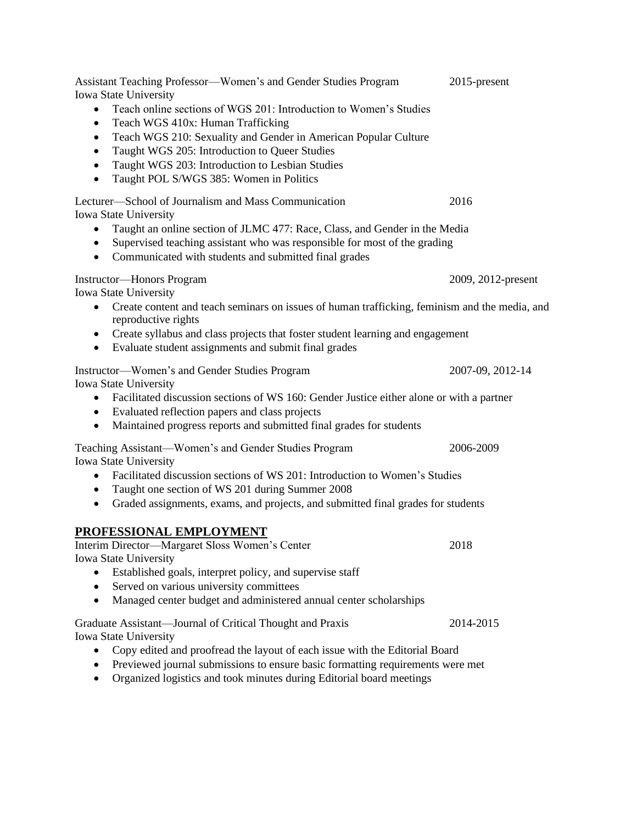| Assistant Teaching Professor—Women's and Gender Studies Program<br>Iowa State University<br>Teach online sections of WGS 201: Introduction to Women's Studies<br>$\bullet$<br>Teach WGS 410x: Human Trafficking<br>$\bullet$<br>Teach WGS 210: Sexuality and Gender in American Popular Culture<br>$\bullet$<br>Taught WGS 205: Introduction to Queer Studies<br>٠<br>Taught WGS 203: Introduction to Lesbian Studies<br>$\bullet$<br>Taught POL S/WGS 385: Women in Politics<br>$\bullet$ | 2015-present       |
|--------------------------------------------------------------------------------------------------------------------------------------------------------------------------------------------------------------------------------------------------------------------------------------------------------------------------------------------------------------------------------------------------------------------------------------------------------------------------------------------|--------------------|
| Lecturer—School of Journalism and Mass Communication<br>Iowa State University<br>Taught an online section of JLMC 477: Race, Class, and Gender in the Media<br>Supervised teaching assistant who was responsible for most of the grading<br>٠<br>Communicated with students and submitted final grades<br>$\bullet$                                                                                                                                                                        | 2016               |
| <b>Instructor-Honors Program</b><br>Iowa State University<br>Create content and teach seminars on issues of human trafficking, feminism and the media, and<br>$\bullet$<br>reproductive rights<br>Create syllabus and class projects that foster student learning and engagement<br>$\bullet$<br>Evaluate student assignments and submit final grades<br>$\bullet$                                                                                                                         | 2009, 2012-present |
| Instructor-Women's and Gender Studies Program<br>Iowa State University<br>Facilitated discussion sections of WS 160: Gender Justice either alone or with a partner<br>$\bullet$<br>• Evaluated reflection papers and class projects<br>Maintained progress reports and submitted final grades for students<br>$\bullet$                                                                                                                                                                    | 2007-09, 2012-14   |
| Teaching Assistant-Women's and Gender Studies Program<br>Iowa State University<br>Facilitated discussion sections of WS 201: Introduction to Women's Studies<br>$\bullet$<br>Taught one section of WS 201 during Summer 2008<br>٠<br>Graded assignments, exams, and projects, and submitted final grades for students<br>$\bullet$                                                                                                                                                         | 2006-2009          |
| PROFESSIONAL EMPLOYMENT<br>Interim Director—Margaret Sloss Women's Center<br>Iowa State University<br>Established goals, interpret policy, and supervise staff<br>Served on various university committees<br>Managed center budget and administered annual center scholarships                                                                                                                                                                                                             | 2018               |
| Graduate Assistant—Journal of Critical Thought and Praxis<br><b>Iowa State University</b><br>Copy edited and proofread the layout of each issue with the Editorial Board<br>Previewed journal submissions to ensure basic formatting requirements were met<br>Organized logistics and took minutes during Editorial board meetings<br>$\bullet$                                                                                                                                            | 2014-2015          |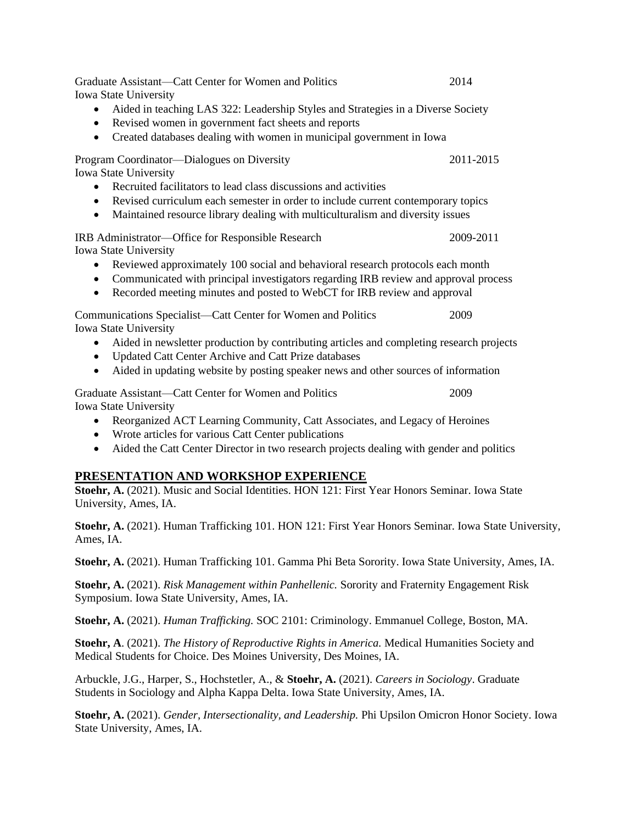Graduate Assistant—Catt Center for Women and Politics 2014 Iowa State University • Aided in teaching LAS 322: Leadership Styles and Strategies in a Diverse Society • Revised women in government fact sheets and reports • Created databases dealing with women in municipal government in Iowa Program Coordinator—Dialogues on Diversity 2011-2015 Iowa State University • Recruited facilitators to lead class discussions and activities • Revised curriculum each semester in order to include current contemporary topics • Maintained resource library dealing with multiculturalism and diversity issues IRB Administrator—Office for Responsible Research 2009-2011 Iowa State University • Reviewed approximately 100 social and behavioral research protocols each month • Communicated with principal investigators regarding IRB review and approval process • Recorded meeting minutes and posted to WebCT for IRB review and approval Communications Specialist—Catt Center for Women and Politics 2009 Iowa State University • Aided in newsletter production by contributing articles and completing research projects • Updated Catt Center Archive and Catt Prize databases • Aided in updating website by posting speaker news and other sources of information Graduate Assistant—Catt Center for Women and Politics 2009 Iowa State University • Reorganized ACT Learning Community, Catt Associates, and Legacy of Heroines • Wrote articles for various Catt Center publications • Aided the Catt Center Director in two research projects dealing with gender and politics

### **PRESENTATION AND WORKSHOP EXPERIENCE**

**Stoehr, A.** (2021). Music and Social Identities. HON 121: First Year Honors Seminar. Iowa State University, Ames, IA.

**Stoehr, A.** (2021). Human Trafficking 101. HON 121: First Year Honors Seminar. Iowa State University, Ames, IA.

**Stoehr, A.** (2021). Human Trafficking 101. Gamma Phi Beta Sorority. Iowa State University, Ames, IA.

**Stoehr, A.** (2021). *Risk Management within Panhellenic.* Sorority and Fraternity Engagement Risk Symposium. Iowa State University, Ames, IA.

**Stoehr, A.** (2021). *Human Trafficking.* SOC 2101: Criminology. Emmanuel College, Boston, MA.

**Stoehr, A**. (2021). *The History of Reproductive Rights in America.* Medical Humanities Society and Medical Students for Choice. Des Moines University, Des Moines, IA.

Arbuckle, J.G., Harper, S., Hochstetler, A., & **Stoehr, A.** (2021). *Careers in Sociology*. Graduate Students in Sociology and Alpha Kappa Delta. Iowa State University, Ames, IA.

**Stoehr, A.** (2021). *Gender, Intersectionality, and Leadership.* Phi Upsilon Omicron Honor Society. Iowa State University, Ames, IA.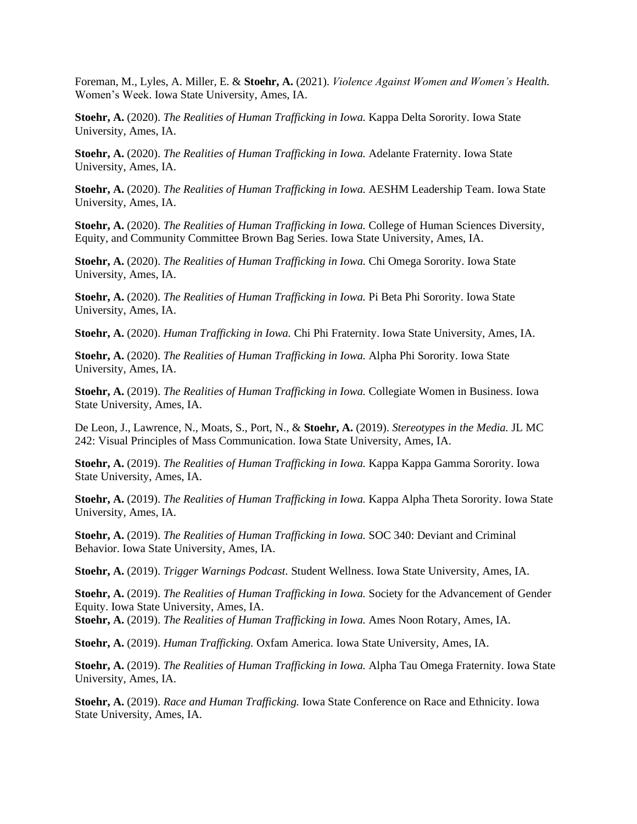Foreman, M., Lyles, A. Miller, E. & **Stoehr, A.** (2021). *Violence Against Women and Women's Health.* Women's Week. Iowa State University, Ames, IA.

**Stoehr, A.** (2020). *The Realities of Human Trafficking in Iowa.* Kappa Delta Sorority. Iowa State University, Ames, IA.

**Stoehr, A.** (2020). *The Realities of Human Trafficking in Iowa.* Adelante Fraternity. Iowa State University, Ames, IA.

**Stoehr, A.** (2020). *The Realities of Human Trafficking in Iowa.* AESHM Leadership Team. Iowa State University, Ames, IA.

**Stoehr, A.** (2020). *The Realities of Human Trafficking in Iowa.* College of Human Sciences Diversity, Equity, and Community Committee Brown Bag Series. Iowa State University, Ames, IA.

**Stoehr, A.** (2020). *The Realities of Human Trafficking in Iowa.* Chi Omega Sorority. Iowa State University, Ames, IA.

**Stoehr, A.** (2020). *The Realities of Human Trafficking in Iowa.* Pi Beta Phi Sorority. Iowa State University, Ames, IA.

**Stoehr, A.** (2020). *Human Trafficking in Iowa.* Chi Phi Fraternity. Iowa State University, Ames, IA.

**Stoehr, A.** (2020). *The Realities of Human Trafficking in Iowa.* Alpha Phi Sorority. Iowa State University, Ames, IA.

**Stoehr, A.** (2019). *The Realities of Human Trafficking in Iowa.* Collegiate Women in Business. Iowa State University, Ames, IA.

De Leon, J., Lawrence, N., Moats, S., Port, N., & **Stoehr, A.** (2019). *Stereotypes in the Media.* JL MC 242: Visual Principles of Mass Communication. Iowa State University, Ames, IA.

**Stoehr, A.** (2019). *The Realities of Human Trafficking in Iowa.* Kappa Kappa Gamma Sorority. Iowa State University, Ames, IA.

**Stoehr, A.** (2019). *The Realities of Human Trafficking in Iowa.* Kappa Alpha Theta Sorority. Iowa State University, Ames, IA.

**Stoehr, A.** (2019). *The Realities of Human Trafficking in Iowa.* SOC 340: Deviant and Criminal Behavior. Iowa State University, Ames, IA.

**Stoehr, A.** (2019). *Trigger Warnings Podcast.* Student Wellness. Iowa State University, Ames, IA.

**Stoehr, A.** (2019). *The Realities of Human Trafficking in Iowa.* Society for the Advancement of Gender Equity. Iowa State University, Ames, IA.

**Stoehr, A.** (2019). *The Realities of Human Trafficking in Iowa.* Ames Noon Rotary, Ames, IA.

**Stoehr, A.** (2019). *Human Trafficking.* Oxfam America. Iowa State University, Ames, IA.

**Stoehr, A.** (2019). *The Realities of Human Trafficking in Iowa.* Alpha Tau Omega Fraternity. Iowa State University, Ames, IA.

**Stoehr, A.** (2019). *Race and Human Trafficking.* Iowa State Conference on Race and Ethnicity. Iowa State University, Ames, IA.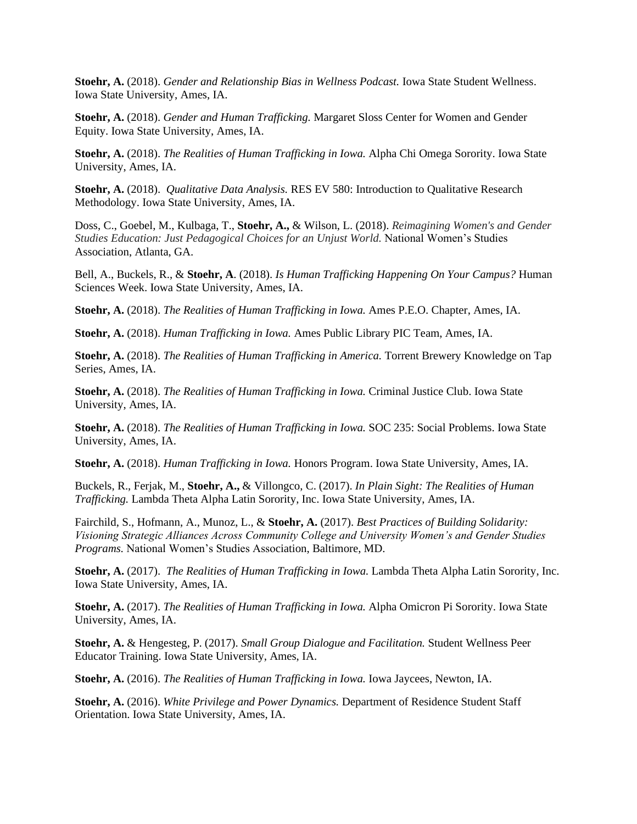**Stoehr, A.** (2018). *Gender and Relationship Bias in Wellness Podcast.* Iowa State Student Wellness. Iowa State University, Ames, IA.

**Stoehr, A.** (2018). *Gender and Human Trafficking.* Margaret Sloss Center for Women and Gender Equity. Iowa State University, Ames, IA.

**Stoehr, A.** (2018). *The Realities of Human Trafficking in Iowa.* Alpha Chi Omega Sorority. Iowa State University, Ames, IA.

**Stoehr, A.** (2018). *Qualitative Data Analysis.* RES EV 580: Introduction to Qualitative Research Methodology. Iowa State University, Ames, IA.

Doss, C., Goebel, M., Kulbaga, T., **Stoehr, A.,** & Wilson, L. (2018). *Reimagining Women's and Gender Studies Education: Just Pedagogical Choices for an Unjust World.* National Women's Studies Association, Atlanta, GA.

Bell, A., Buckels, R., & **Stoehr, A**. (2018). *Is Human Trafficking Happening On Your Campus?* Human Sciences Week. Iowa State University, Ames, IA.

**Stoehr, A.** (2018). *The Realities of Human Trafficking in Iowa.* Ames P.E.O. Chapter, Ames, IA.

**Stoehr, A.** (2018). *Human Trafficking in Iowa.* Ames Public Library PIC Team, Ames, IA.

**Stoehr, A.** (2018). *The Realities of Human Trafficking in America.* Torrent Brewery Knowledge on Tap Series, Ames, IA.

**Stoehr, A.** (2018). *The Realities of Human Trafficking in Iowa.* Criminal Justice Club. Iowa State University, Ames, IA.

**Stoehr, A.** (2018). *The Realities of Human Trafficking in Iowa.* SOC 235: Social Problems. Iowa State University, Ames, IA.

**Stoehr, A.** (2018). *Human Trafficking in Iowa.* Honors Program. Iowa State University, Ames, IA.

Buckels, R., Ferjak, M., **Stoehr, A.,** & Villongco, C. (2017). *In Plain Sight: The Realities of Human Trafficking.* Lambda Theta Alpha Latin Sorority, Inc. Iowa State University, Ames, IA.

Fairchild, S., Hofmann, A., Munoz, L., & **Stoehr, A.** (2017). *Best Practices of Building Solidarity: Visioning Strategic Alliances Across Community College and University Women's and Gender Studies Programs.* National Women's Studies Association, Baltimore, MD.

**Stoehr, A.** (2017). *The Realities of Human Trafficking in Iowa.* Lambda Theta Alpha Latin Sorority, Inc. Iowa State University, Ames, IA.

**Stoehr, A.** (2017). *The Realities of Human Trafficking in Iowa.* Alpha Omicron Pi Sorority. Iowa State University, Ames, IA.

**Stoehr, A.** & Hengesteg, P. (2017). *Small Group Dialogue and Facilitation.* Student Wellness Peer Educator Training. Iowa State University, Ames, IA.

**Stoehr, A.** (2016). *The Realities of Human Trafficking in Iowa.* Iowa Jaycees, Newton, IA.

**Stoehr, A.** (2016). *White Privilege and Power Dynamics.* Department of Residence Student Staff Orientation. Iowa State University, Ames, IA.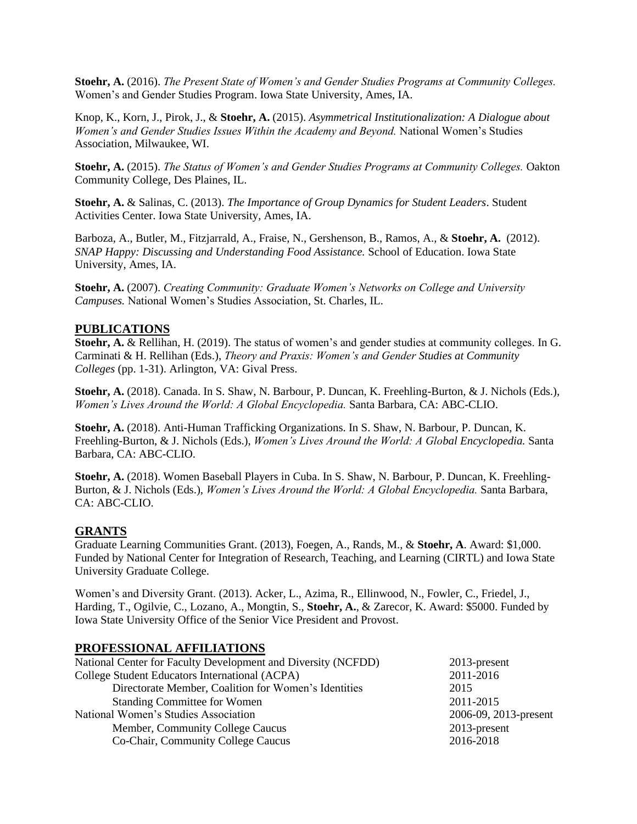**Stoehr, A.** (2016). *The Present State of Women's and Gender Studies Programs at Community Colleges.*  Women's and Gender Studies Program. Iowa State University, Ames, IA.

Knop, K., Korn, J., Pirok, J., & **Stoehr, A.** (2015). *Asymmetrical Institutionalization: A Dialogue about Women's and Gender Studies Issues Within the Academy and Beyond.* National Women's Studies Association, Milwaukee, WI.

**Stoehr, A.** (2015). *The Status of Women's and Gender Studies Programs at Community Colleges.* Oakton Community College, Des Plaines, IL.

**Stoehr, A.** & Salinas, C. (2013). *The Importance of Group Dynamics for Student Leaders*. Student Activities Center. Iowa State University, Ames, IA.

Barboza, A., Butler, M., Fitzjarrald, A., Fraise, N., Gershenson, B., Ramos, A., & **Stoehr, A.** (2012). *SNAP Happy: Discussing and Understanding Food Assistance.* School of Education. Iowa State University, Ames, IA.

**Stoehr, A.** (2007). *Creating Community: Graduate Women's Networks on College and University Campuses.* National Women's Studies Association, St. Charles, IL.

#### **PUBLICATIONS**

**Stoehr, A.** & Rellihan, H. (2019). The status of women's and gender studies at community colleges. In G. Carminati & H. Rellihan (Eds.), *Theory and Praxis: Women's and Gender Studies at Community Colleges* (pp. 1-31). Arlington, VA: Gival Press.

**Stoehr, A.** (2018). Canada. In S. Shaw, N. Barbour, P. Duncan, K. Freehling-Burton, & J. Nichols (Eds.), *Women's Lives Around the World: A Global Encyclopedia.* Santa Barbara, CA: ABC-CLIO.

**Stoehr, A.** (2018). Anti-Human Trafficking Organizations. In S. Shaw, N. Barbour, P. Duncan, K. Freehling-Burton, & J. Nichols (Eds.), *Women's Lives Around the World: A Global Encyclopedia.* Santa Barbara, CA: ABC-CLIO.

**Stoehr, A.** (2018). Women Baseball Players in Cuba. In S. Shaw, N. Barbour, P. Duncan, K. Freehling-Burton, & J. Nichols (Eds.), *Women's Lives Around the World: A Global Encyclopedia.* Santa Barbara, CA: ABC-CLIO.

#### **GRANTS**

Graduate Learning Communities Grant. (2013), Foegen, A., Rands, M., & **Stoehr, A**. Award: \$1,000. Funded by National Center for Integration of Research, Teaching, and Learning (CIRTL) and Iowa State University Graduate College.

Women's and Diversity Grant. (2013). Acker, L., Azima, R., Ellinwood, N., Fowler, C., Friedel, J., Harding, T., Ogilvie, C., Lozano, A., Mongtin, S., **Stoehr, A.**, & Zarecor, K. Award: \$5000. Funded by Iowa State University Office of the Senior Vice President and Provost.

#### **PROFESSIONAL AFFILIATIONS**

| National Center for Faculty Development and Diversity (NCFDD) | 2013-present          |
|---------------------------------------------------------------|-----------------------|
| College Student Educators International (ACPA)                | 2011-2016             |
| Directorate Member, Coalition for Women's Identities          | 2015                  |
| <b>Standing Committee for Women</b>                           | 2011-2015             |
| National Women's Studies Association                          | 2006-09, 2013-present |
| Member, Community College Caucus                              | 2013-present          |
| Co-Chair, Community College Caucus                            | 2016-2018             |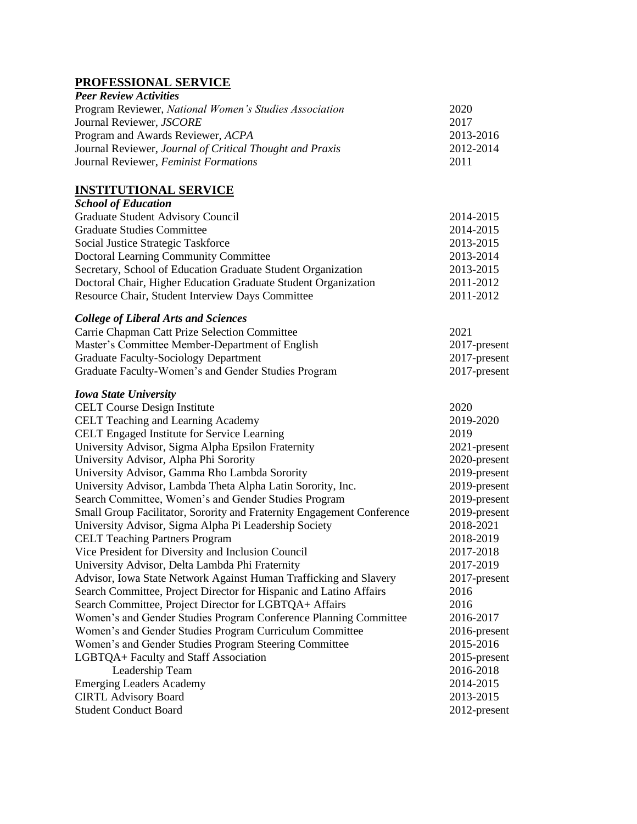## **PROFESSIONAL SERVICE**

| <b>Peer Review Activities</b>                            |           |
|----------------------------------------------------------|-----------|
| Program Reviewer, National Women's Studies Association   | 2020      |
| Journal Reviewer, JSCORE                                 | 2017      |
| Program and Awards Reviewer, ACPA                        | 2013-2016 |
| Journal Reviewer, Journal of Critical Thought and Praxis | 2012-2014 |
| Journal Reviewer, Feminist Formations                    | 2011      |

## **INSTITUTIONAL SERVICE**

| <b>School of Education</b>                                             |              |
|------------------------------------------------------------------------|--------------|
| Graduate Student Advisory Council                                      | 2014-2015    |
| <b>Graduate Studies Committee</b>                                      | 2014-2015    |
| Social Justice Strategic Taskforce                                     | 2013-2015    |
| Doctoral Learning Community Committee                                  | 2013-2014    |
| Secretary, School of Education Graduate Student Organization           | 2013-2015    |
| Doctoral Chair, Higher Education Graduate Student Organization         | 2011-2012    |
| Resource Chair, Student Interview Days Committee                       | 2011-2012    |
| <b>College of Liberal Arts and Sciences</b>                            |              |
| Carrie Chapman Catt Prize Selection Committee                          | 2021         |
| Master's Committee Member-Department of English                        | 2017-present |
| <b>Graduate Faculty-Sociology Department</b>                           | 2017-present |
| Graduate Faculty-Women's and Gender Studies Program                    | 2017-present |
| <b>Iowa State University</b>                                           |              |
| <b>CELT Course Design Institute</b>                                    | 2020         |
| CELT Teaching and Learning Academy                                     | 2019-2020    |
| CELT Engaged Institute for Service Learning                            | 2019         |
| University Advisor, Sigma Alpha Epsilon Fraternity                     | 2021-present |
| University Advisor, Alpha Phi Sorority                                 | 2020-present |
| University Advisor, Gamma Rho Lambda Sorority                          | 2019-present |
| University Advisor, Lambda Theta Alpha Latin Sorority, Inc.            | 2019-present |
| Search Committee, Women's and Gender Studies Program                   | 2019-present |
| Small Group Facilitator, Sorority and Fraternity Engagement Conference | 2019-present |
| University Advisor, Sigma Alpha Pi Leadership Society                  | 2018-2021    |
| <b>CELT Teaching Partners Program</b>                                  | 2018-2019    |
| Vice President for Diversity and Inclusion Council                     | 2017-2018    |
| University Advisor, Delta Lambda Phi Fraternity                        | 2017-2019    |
| Advisor, Iowa State Network Against Human Trafficking and Slavery      | 2017-present |
| Search Committee, Project Director for Hispanic and Latino Affairs     | 2016         |
| Search Committee, Project Director for LGBTQA+ Affairs                 | 2016         |
| Women's and Gender Studies Program Conference Planning Committee       | 2016-2017    |
| Women's and Gender Studies Program Curriculum Committee                | 2016-present |
| Women's and Gender Studies Program Steering Committee                  | 2015-2016    |
| LGBTQA+ Faculty and Staff Association                                  | 2015-present |
| Leadership Team                                                        | 2016-2018    |
| <b>Emerging Leaders Academy</b>                                        | 2014-2015    |
| <b>CIRTL Advisory Board</b>                                            | 2013-2015    |
| <b>Student Conduct Board</b>                                           | 2012-present |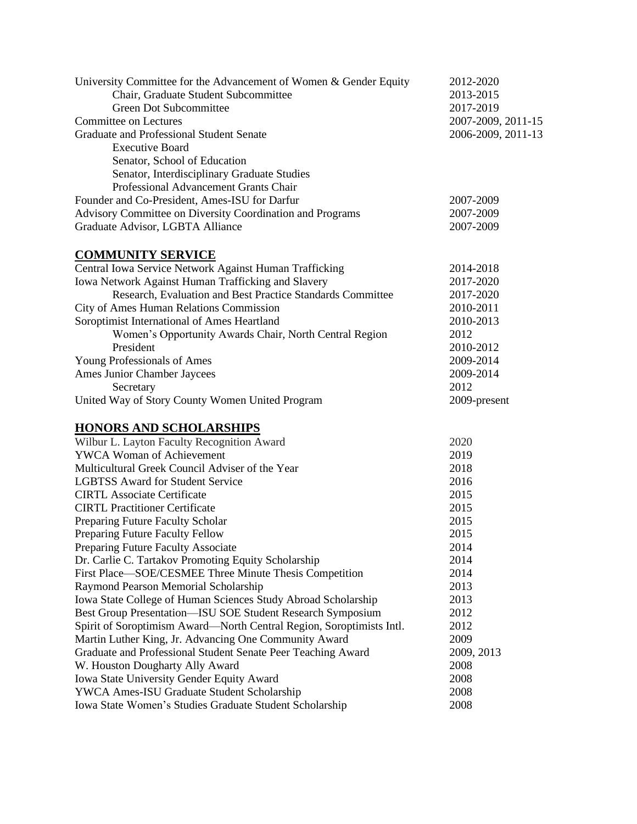| University Committee for the Advancement of Women & Gender Equity    | 2012-2020          |  |
|----------------------------------------------------------------------|--------------------|--|
| Chair, Graduate Student Subcommittee                                 | 2013-2015          |  |
| Green Dot Subcommittee                                               | 2017-2019          |  |
| <b>Committee on Lectures</b>                                         | 2007-2009, 2011-15 |  |
| <b>Graduate and Professional Student Senate</b>                      | 2006-2009, 2011-13 |  |
| <b>Executive Board</b>                                               |                    |  |
| Senator, School of Education                                         |                    |  |
| Senator, Interdisciplinary Graduate Studies                          |                    |  |
| Professional Advancement Grants Chair                                |                    |  |
| Founder and Co-President, Ames-ISU for Darfur                        | 2007-2009          |  |
| Advisory Committee on Diversity Coordination and Programs            | 2007-2009          |  |
| Graduate Advisor, LGBTA Alliance                                     | 2007-2009          |  |
| <b>COMMUNITY SERVICE</b>                                             |                    |  |
| Central Iowa Service Network Against Human Trafficking               | 2014-2018          |  |
| Iowa Network Against Human Trafficking and Slavery                   | 2017-2020          |  |
| Research, Evaluation and Best Practice Standards Committee           | 2017-2020          |  |
| City of Ames Human Relations Commission                              | 2010-2011          |  |
| Soroptimist International of Ames Heartland                          | 2010-2013          |  |
| Women's Opportunity Awards Chair, North Central Region               | 2012               |  |
| President                                                            | 2010-2012          |  |
| Young Professionals of Ames                                          | 2009-2014          |  |
| Ames Junior Chamber Jaycees                                          | 2009-2014          |  |
| Secretary                                                            | 2012               |  |
| United Way of Story County Women United Program                      | 2009-present       |  |
| <b>HONORS AND SCHOLARSHIPS</b>                                       |                    |  |
| Wilbur L. Layton Faculty Recognition Award                           | 2020               |  |
| <b>YWCA Woman of Achievement</b>                                     | 2019               |  |
| Multicultural Greek Council Adviser of the Year                      | 2018               |  |
| <b>LGBTSS Award for Student Service</b>                              | 2016               |  |
| <b>CIRTL Associate Certificate</b>                                   | 2015               |  |
| <b>CIRTL Practitioner Certificate</b>                                | 2015               |  |
| Preparing Future Faculty Scholar                                     | 2015               |  |
| Preparing Future Faculty Fellow                                      | 2015               |  |
| Preparing Future Faculty Associate                                   | 2014               |  |
| Dr. Carlie C. Tartakov Promoting Equity Scholarship                  | 2014               |  |
| First Place—SOE/CESMEE Three Minute Thesis Competition               | 2014               |  |
| Raymond Pearson Memorial Scholarship                                 | 2013               |  |
| Iowa State College of Human Sciences Study Abroad Scholarship        | 2013               |  |
| Best Group Presentation-ISU SOE Student Research Symposium           | 2012               |  |
| Spirit of Soroptimism Award—North Central Region, Soroptimists Intl. | 2012               |  |
| Martin Luther King, Jr. Advancing One Community Award                | 2009               |  |
| Graduate and Professional Student Senate Peer Teaching Award         | 2009, 2013         |  |
| W. Houston Dougharty Ally Award                                      | 2008               |  |
| <b>Iowa State University Gender Equity Award</b>                     | 2008               |  |
| YWCA Ames-ISU Graduate Student Scholarship                           | 2008               |  |
| Iowa State Women's Studies Graduate Student Scholarship              | 2008               |  |
|                                                                      |                    |  |